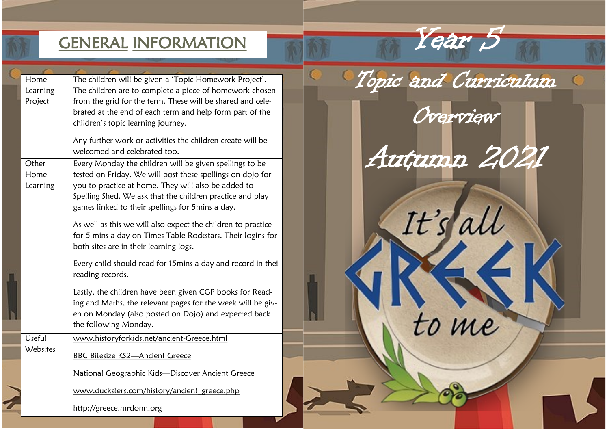# GENERAL INFORMATION THE YEAR 5

| Home     | The children will be given a 'Topic Homework Project'.       |  | Topic and Curriculum |  |
|----------|--------------------------------------------------------------|--|----------------------|--|
| Learning | The children are to complete a piece of homework chosen      |  |                      |  |
| Project  | from the grid for the term. These will be shared and cele-   |  |                      |  |
|          | brated at the end of each term and help form part of the     |  |                      |  |
|          | children's topic learning journey.                           |  | Overview             |  |
|          | Any further work or activities the children create will be   |  |                      |  |
|          | welcomed and celebrated too.                                 |  | Autumn 20            |  |
| Other    | Every Monday the children will be given spellings to be      |  |                      |  |
| Home     | tested on Friday. We will post these spellings on dojo for   |  |                      |  |
| Learning | you to practice at home. They will also be added to          |  |                      |  |
|          | Spelling Shed. We ask that the children practice and play    |  |                      |  |
|          | games linked to their spellings for 5mins a day.             |  |                      |  |
|          |                                                              |  |                      |  |
|          | As well as this we will also expect the children to practice |  | It's ali             |  |
|          | for 5 mins a day on Times Table Rockstars. Their logins for  |  |                      |  |
|          | both sites are in their learning logs.                       |  |                      |  |
|          |                                                              |  |                      |  |
|          | Every child should read for 15mins a day and record in thei  |  |                      |  |
|          | reading records.                                             |  |                      |  |
|          | Lastly, the children have been given CGP books for Read-     |  |                      |  |
|          | ing and Maths, the relevant pages for the week will be giv-  |  |                      |  |
|          | en on Monday (also posted on Dojo) and expected back         |  |                      |  |
|          |                                                              |  |                      |  |
|          | the following Monday.                                        |  | me                   |  |
| Useful   | www.historyforkids.net/ancient-Greece.html                   |  |                      |  |
| Websites | <b>BBC Bitesize KS2-Ancient Greece</b>                       |  |                      |  |
|          |                                                              |  |                      |  |
|          | National Geographic Kids-Discover Ancient Greece             |  |                      |  |
|          |                                                              |  |                      |  |
|          | www.ducksters.com/history/ancient greece.php                 |  |                      |  |
|          | http://greece.mrdonn.org                                     |  |                      |  |